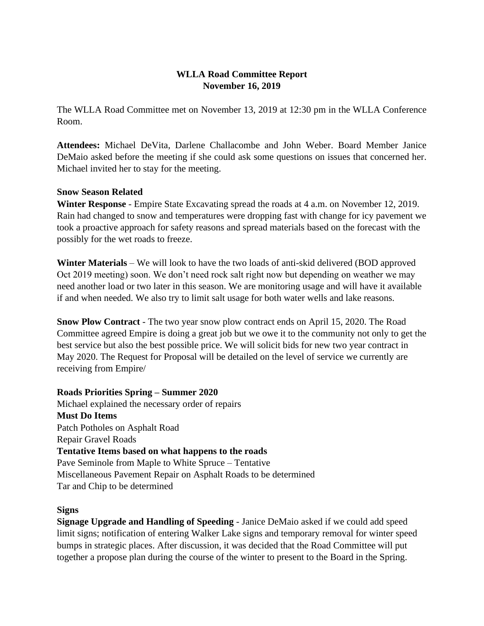# **WLLA Road Committee Report November 16, 2019**

The WLLA Road Committee met on November 13, 2019 at 12:30 pm in the WLLA Conference Room.

**Attendees:** Michael DeVita, Darlene Challacombe and John Weber. Board Member Janice DeMaio asked before the meeting if she could ask some questions on issues that concerned her. Michael invited her to stay for the meeting.

## **Snow Season Related**

**Winter Response** - Empire State Excavating spread the roads at 4 a.m. on November 12, 2019. Rain had changed to snow and temperatures were dropping fast with change for icy pavement we took a proactive approach for safety reasons and spread materials based on the forecast with the possibly for the wet roads to freeze.

**Winter Materials** – We will look to have the two loads of anti-skid delivered (BOD approved Oct 2019 meeting) soon. We don't need rock salt right now but depending on weather we may need another load or two later in this season. We are monitoring usage and will have it available if and when needed. We also try to limit salt usage for both water wells and lake reasons.

**Snow Plow Contract** - The two year snow plow contract ends on April 15, 2020. The Road Committee agreed Empire is doing a great job but we owe it to the community not only to get the best service but also the best possible price. We will solicit bids for new two year contract in May 2020. The Request for Proposal will be detailed on the level of service we currently are receiving from Empire/

## **Roads Priorities Spring – Summer 2020**

Michael explained the necessary order of repairs **Must Do Items** Patch Potholes on Asphalt Road Repair Gravel Roads **Tentative Items based on what happens to the roads**  Pave Seminole from Maple to White Spruce – Tentative Miscellaneous Pavement Repair on Asphalt Roads to be determined Tar and Chip to be determined

## **Signs**

**Signage Upgrade and Handling of Speeding** - Janice DeMaio asked if we could add speed limit signs; notification of entering Walker Lake signs and temporary removal for winter speed bumps in strategic places. After discussion, it was decided that the Road Committee will put together a propose plan during the course of the winter to present to the Board in the Spring.